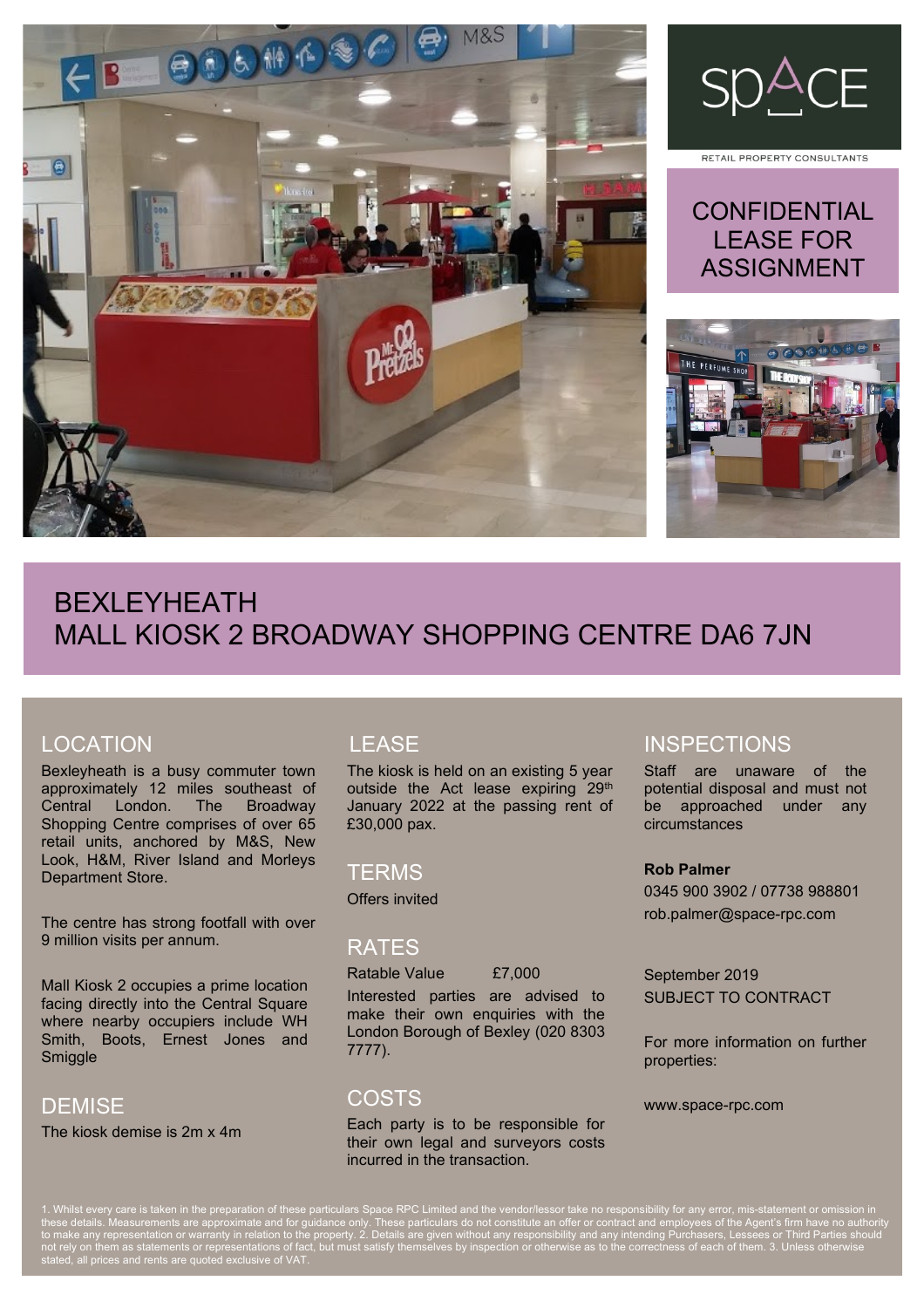



RETAIL PROPERTY CONSULTANTS

# **CONFIDENTIAL** LEASE FOR ASSIGNMENT



# BEXLEYHEATH MALL KIOSK 2 BROADWAY SHOPPING CENTRE DA6 7JN

## LOCATION

Bexleyheath is a busy commuter town approximately 12 miles southeast of Central London. The Broadway Shopping Centre comprises of over 65 retail units, anchored by M&S, New Look, H&M, River Island and Morleys Department Store.

The centre has strong footfall with over 9 million visits per annum.

Mall Kiosk 2 occupies a prime location facing directly into the Central Square where nearby occupiers include WH Smith, Boots, Ernest Jones and Smiggle

#### **DEMISE**

The kiosk demise is 2m x 4m

## LEASE

The kiosk is held on an existing 5 year outside the Act lease expiring 29<sup>th</sup> January 2022 at the passing rent of £30,000 pax.

#### **TERMS**

Offers invited

#### RATES

Ratable Value £7,000

Interested parties are advised to make their own enquiries with the London Borough of Bexley (020 8303 7777).

#### **COSTS**

Each party is to be responsible for their own legal and surveyors costs incurred in the transaction.

## **INSPECTIONS**

Staff are unaware of the potential disposal and must not be approached under any circumstances

#### **Rob Palmer**

0345 900 3902 / 07738 988801 rob.palmer@space-rpc.com

September 2019 SUBJECT TO CONTRACT

For more information on further properties:

www.space-rpc.com

1. Whilst every care is taken in the preparation of these particulars Space RPC Limited and the vendor/lessor take no responsibility for any error, mis-statement or omission in to make any representation or warranty in relation to the property. 2. Details are given without any responsibility and any intending Purchasers, Lessees or Third Parties should not rely on them as statements or representations of fact, but must satisfy themselves by inspection or otherwise as to the correctness of each of them. 3. Unless otherwise